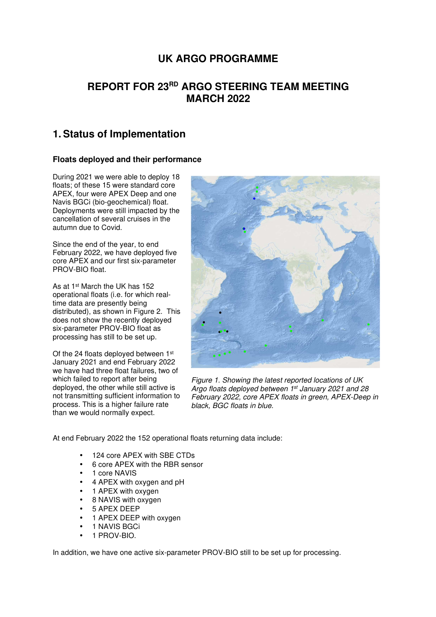# **UK ARGO PROGRAMME**

# **REPORT FOR 23RD ARGO STEERING TEAM MEETING MARCH 2022**

# **1. Status of Implementation**

## **Floats deployed and their performance**

During 2021 we were able to deploy 18 floats; of these 15 were standard core APEX, four were APEX Deep and one Navis BGCi (bio-geochemical) float. Deployments were still impacted by the cancellation of several cruises in the autumn due to Covid.

Since the end of the year, to end February 2022, we have deployed five core APEX and our first six-parameter PROV-BIO float.

As at 1st March the UK has 152 operational floats (i.e. for which realtime data are presently being distributed), as shown in Figure 2. This does not show the recently deployed six-parameter PROV-BIO float as processing has still to be set up.

Of the 24 floats deployed between 1st January 2021 and end February 2022 we have had three float failures, two of which failed to report after being deployed, the other while still active is not transmitting sufficient information to process. This is a higher failure rate than we would normally expect.



Figure 1. Showing the latest reported locations of UK Argo floats deployed between 1<sup>st</sup> January 2021 and 28 February 2022, core APEX floats in green, APEX-Deep in black, BGC floats in blue.

At end February 2022 the 152 operational floats returning data include:

- 124 core APEX with SBE CTDs
- 6 core APEX with the RBR sensor
- 1 core NAVIS
- 4 APEX with oxygen and pH
- 1 APEX with oxygen
- 8 NAVIS with oxygen
- 5 APEX DEEP
- 1 APEX DEEP with oxygen
- 1 NAVIS BGCi
- 1 PROV-BIO.

In addition, we have one active six-parameter PROV-BIO still to be set up for processing.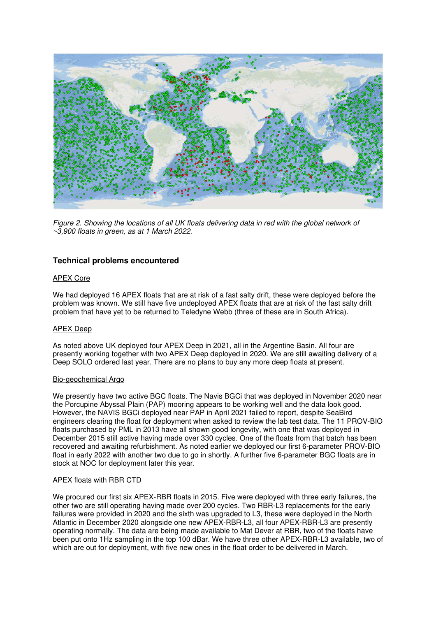

Figure 2. Showing the locations of all UK floats delivering data in red with the global network of  $\sim$ 3,900 floats in green, as at 1 March 2022.

### **Technical problems encountered**

#### APEX Core

We had deployed 16 APEX floats that are at risk of a fast salty drift, these were deployed before the problem was known. We still have five undeployed APEX floats that are at risk of the fast salty drift problem that have yet to be returned to Teledyne Webb (three of these are in South Africa).

#### APEX Deep

As noted above UK deployed four APEX Deep in 2021, all in the Argentine Basin. All four are presently working together with two APEX Deep deployed in 2020. We are still awaiting delivery of a Deep SOLO ordered last year. There are no plans to buy any more deep floats at present.

#### Bio-geochemical Argo

We presently have two active BGC floats. The Navis BGCi that was deployed in November 2020 near the Porcupine Abyssal Plain (PAP) mooring appears to be working well and the data look good. However, the NAVIS BGCi deployed near PAP in April 2021 failed to report, despite SeaBird engineers clearing the float for deployment when asked to review the lab test data. The 11 PROV-BIO floats purchased by PML in 2013 have all shown good longevity, with one that was deployed in December 2015 still active having made over 330 cycles. One of the floats from that batch has been recovered and awaiting refurbishment. As noted earlier we deployed our first 6-parameter PROV-BIO float in early 2022 with another two due to go in shortly. A further five 6-parameter BGC floats are in stock at NOC for deployment later this year.

#### APEX floats with RBR CTD

We procured our first six APEX-RBR floats in 2015. Five were deployed with three early failures, the other two are still operating having made over 200 cycles. Two RBR-L3 replacements for the early failures were provided in 2020 and the sixth was upgraded to L3, these were deployed in the North Atlantic in December 2020 alongside one new APEX-RBR-L3, all four APEX-RBR-L3 are presently operating normally. The data are being made available to Mat Dever at RBR, two of the floats have been put onto 1Hz sampling in the top 100 dBar. We have three other APEX-RBR-L3 available, two of which are out for deployment, with five new ones in the float order to be delivered in March.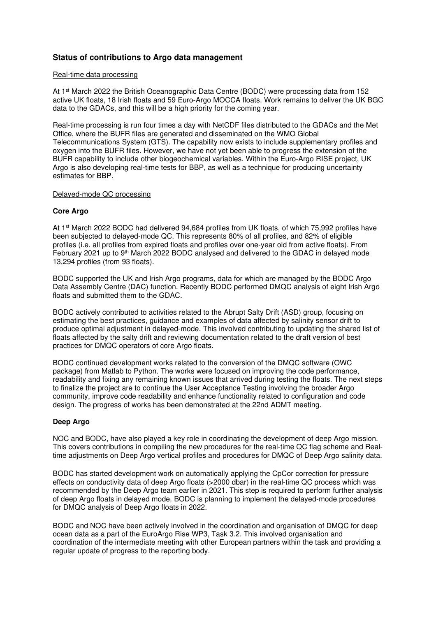## **Status of contributions to Argo data management**

#### Real-time data processing

At 1<sup>st</sup> March 2022 the British Oceanographic Data Centre (BODC) were processing data from 152 active UK floats, 18 Irish floats and 59 Euro-Argo MOCCA floats. Work remains to deliver the UK BGC data to the GDACs, and this will be a high priority for the coming year.

Real-time processing is run four times a day with NetCDF files distributed to the GDACs and the Met Office, where the BUFR files are generated and disseminated on the WMO Global Telecommunications System (GTS). The capability now exists to include supplementary profiles and oxygen into the BUFR files. However, we have not yet been able to progress the extension of the BUFR capability to include other biogeochemical variables. Within the Euro-Argo RISE project, UK Argo is also developing real-time tests for BBP, as well as a technique for producing uncertainty estimates for BBP.

#### Delayed-mode QC processing

#### **Core Argo**

At 1st March 2022 BODC had delivered 94,684 profiles from UK floats, of which 75,992 profiles have been subjected to delayed-mode QC. This represents 80% of all profiles, and 82% of eligible profiles (i.e. all profiles from expired floats and profiles over one-year old from active floats). From February 2021 up to 9th March 2022 BODC analysed and delivered to the GDAC in delayed mode 13,294 profiles (from 93 floats).

BODC supported the UK and Irish Argo programs, data for which are managed by the BODC Argo Data Assembly Centre (DAC) function. Recently BODC performed DMQC analysis of eight Irish Argo floats and submitted them to the GDAC.

BODC actively contributed to activities related to the Abrupt Salty Drift (ASD) group, focusing on estimating the best practices, guidance and examples of data affected by salinity sensor drift to produce optimal adjustment in delayed-mode. This involved contributing to updating the shared list of floats affected by the salty drift and reviewing documentation related to the draft version of best practices for DMQC operators of core Argo floats.

BODC continued development works related to the conversion of the DMQC software (OWC package) from Matlab to Python. The works were focused on improving the code performance, readability and fixing any remaining known issues that arrived during testing the floats. The next steps to finalize the project are to continue the User Acceptance Testing involving the broader Argo community, improve code readability and enhance functionality related to configuration and code design. The progress of works has been demonstrated at the 22nd ADMT meeting.

#### **Deep Argo**

NOC and BODC, have also played a key role in coordinating the development of deep Argo mission. This covers contributions in compiling the new procedures for the real-time QC flag scheme and Realtime adjustments on Deep Argo vertical profiles and procedures for DMQC of Deep Argo salinity data.

BODC has started development work on automatically applying the CpCor correction for pressure effects on conductivity data of deep Argo floats (>2000 dbar) in the real-time QC process which was recommended by the Deep Argo team earlier in 2021. This step is required to perform further analysis of deep Argo floats in delayed mode. BODC is planning to implement the delayed-mode procedures for DMQC analysis of Deep Argo floats in 2022.

BODC and NOC have been actively involved in the coordination and organisation of DMQC for deep ocean data as a part of the EuroArgo Rise WP3, Task 3.2. This involved organisation and coordination of the intermediate meeting with other European partners within the task and providing a regular update of progress to the reporting body.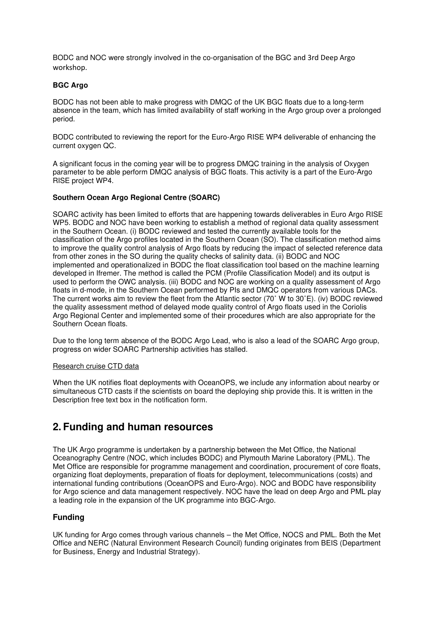BODC and NOC were strongly involved in the co-organisation of the BGC and 3rd Deep Argo workshop.

#### **BGC Argo**

BODC has not been able to make progress with DMQC of the UK BGC floats due to a long-term absence in the team, which has limited availability of staff working in the Argo group over a prolonged period.

BODC contributed to reviewing the report for the Euro-Argo RISE WP4 deliverable of enhancing the current oxygen QC.

A significant focus in the coming year will be to progress DMQC training in the analysis of Oxygen parameter to be able perform DMQC analysis of BGC floats. This activity is a part of the Euro-Argo RISE project WP4.

#### **Southern Ocean Argo Regional Centre (SOARC)**

SOARC activity has been limited to efforts that are happening towards deliverables in Euro Argo RISE WP5. BODC and NOC have been working to establish a method of regional data quality assessment in the Southern Ocean. (i) BODC reviewed and tested the currently available tools for the classification of the Argo profiles located in the Southern Ocean (SO). The classification method aims to improve the quality control analysis of Argo floats by reducing the impact of selected reference data from other zones in the SO during the quality checks of salinity data. (ii) BODC and NOC implemented and operationalized in BODC the float classification tool based on the machine learning developed in Ifremer. The method is called the PCM (Profile Classification Model) and its output is used to perform the OWC analysis. (iii) BODC and NOC are working on a quality assessment of Argo floats in d-mode, in the Southern Ocean performed by PIs and DMQC operators from various DACs. The current works aim to review the fleet from the Atlantic sector (70˚ W to 30˚E). (iv) BODC reviewed the quality assessment method of delayed mode quality control of Argo floats used in the Coriolis Argo Regional Center and implemented some of their procedures which are also appropriate for the Southern Ocean floats.

Due to the long term absence of the BODC Argo Lead, who is also a lead of the SOARC Argo group, progress on wider SOARC Partnership activities has stalled.

#### Research cruise CTD data

When the UK notifies float deployments with OceanOPS, we include any information about nearby or simultaneous CTD casts if the scientists on board the deploying ship provide this. It is written in the Description free text box in the notification form.

## **2. Funding and human resources**

The UK Argo programme is undertaken by a partnership between the Met Office, the National Oceanography Centre (NOC, which includes BODC) and Plymouth Marine Laboratory (PML). The Met Office are responsible for programme management and coordination, procurement of core floats, organizing float deployments, preparation of floats for deployment, telecommunications (costs) and international funding contributions (OceanOPS and Euro-Argo). NOC and BODC have responsibility for Argo science and data management respectively. NOC have the lead on deep Argo and PML play a leading role in the expansion of the UK programme into BGC-Argo.

### **Funding**

UK funding for Argo comes through various channels – the Met Office, NOCS and PML. Both the Met Office and NERC (Natural Environment Research Council) funding originates from BEIS (Department for Business, Energy and Industrial Strategy).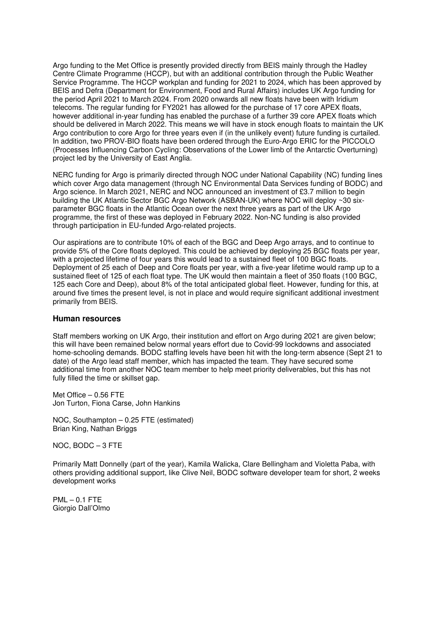Argo funding to the Met Office is presently provided directly from BEIS mainly through the Hadley Centre Climate Programme (HCCP), but with an additional contribution through the Public Weather Service Programme. The HCCP workplan and funding for 2021 to 2024, which has been approved by BEIS and Defra (Department for Environment, Food and Rural Affairs) includes UK Argo funding for the period April 2021 to March 2024. From 2020 onwards all new floats have been with Iridium telecoms. The regular funding for FY2021 has allowed for the purchase of 17 core APEX floats, however additional in-year funding has enabled the purchase of a further 39 core APEX floats which should be delivered in March 2022. This means we will have in stock enough floats to maintain the UK Argo contribution to core Argo for three years even if (in the unlikely event) future funding is curtailed. In addition, two PROV-BIO floats have been ordered through the Euro-Argo ERIC for the PICCOLO (Processes Influencing Carbon Cycling: Observations of the Lower limb of the Antarctic Overturning) project led by the University of East Anglia.

NERC funding for Argo is primarily directed through NOC under National Capability (NC) funding lines which cover Argo data management (through NC Environmental Data Services funding of BODC) and Argo science. In March 2021, NERC and NOC announced an investment of £3.7 million to begin building the UK Atlantic Sector BGC Argo Network (ASBAN-UK) where NOC will deploy ~30 sixparameter BGC floats in the Atlantic Ocean over the next three years as part of the UK Argo programme, the first of these was deployed in February 2022. Non-NC funding is also provided through participation in EU-funded Argo-related projects.

Our aspirations are to contribute 10% of each of the BGC and Deep Argo arrays, and to continue to provide 5% of the Core floats deployed. This could be achieved by deploying 25 BGC floats per year, with a projected lifetime of four years this would lead to a sustained fleet of 100 BGC floats. Deployment of 25 each of Deep and Core floats per year, with a five-year lifetime would ramp up to a sustained fleet of 125 of each float type. The UK would then maintain a fleet of 350 floats (100 BGC, 125 each Core and Deep), about 8% of the total anticipated global fleet. However, funding for this, at around five times the present level, is not in place and would require significant additional investment primarily from BEIS.

#### **Human resources**

Staff members working on UK Argo, their institution and effort on Argo during 2021 are given below; this will have been remained below normal years effort due to Covid-99 lockdowns and associated home-schooling demands. BODC staffing levels have been hit with the long-term absence (Sept 21 to date) of the Argo lead staff member, which has impacted the team. They have secured some additional time from another NOC team member to help meet priority deliverables, but this has not fully filled the time or skillset gap.

Met Office – 0.56 FTE Jon Turton, Fiona Carse, John Hankins

NOC, Southampton – 0.25 FTE (estimated) Brian King, Nathan Briggs

NOC, BODC – 3 FTE

Primarily Matt Donnelly (part of the year), Kamila Walicka, Clare Bellingham and Violetta Paba, with others providing additional support, like Clive Neil, BODC software developer team for short, 2 weeks development works

 $PML - 0.1$  FTE Giorgio Dall'Olmo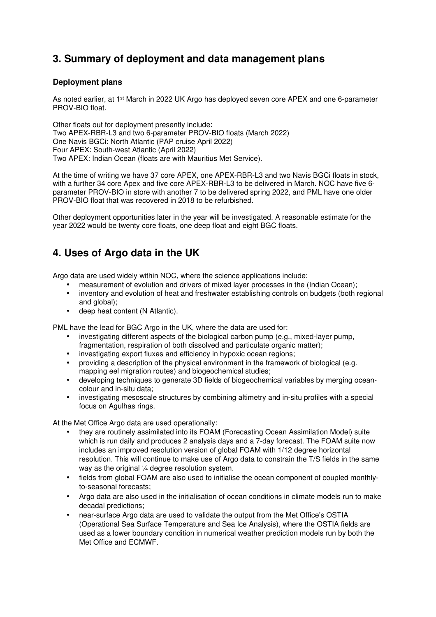# **3. Summary of deployment and data management plans**

## **Deployment plans**

As noted earlier, at 1st March in 2022 UK Argo has deployed seven core APEX and one 6-parameter PROV-BIO float.

Other floats out for deployment presently include: Two APEX-RBR-L3 and two 6-parameter PROV-BIO floats (March 2022) One Navis BGCi: North Atlantic (PAP cruise April 2022) Four APEX: South-west Atlantic (April 2022) Two APEX: Indian Ocean (floats are with Mauritius Met Service).

At the time of writing we have 37 core APEX, one APEX-RBR-L3 and two Navis BGCi floats in stock, with a further 34 core Apex and five core APEX-RBR-L3 to be delivered in March. NOC have five 6 parameter PROV-BIO in store with another 7 to be delivered spring 2022, and PML have one older PROV-BIO float that was recovered in 2018 to be refurbished.

Other deployment opportunities later in the year will be investigated. A reasonable estimate for the year 2022 would be twenty core floats, one deep float and eight BGC floats.

# **4. Uses of Argo data in the UK**

Argo data are used widely within NOC, where the science applications include:

- measurement of evolution and drivers of mixed layer processes in the (Indian Ocean);
- inventory and evolution of heat and freshwater establishing controls on budgets (both regional and global);
- deep heat content (N Atlantic).

PML have the lead for BGC Argo in the UK, where the data are used for:

- investigating different aspects of the biological carbon pump (e.g., mixed-layer pump, fragmentation, respiration of both dissolved and particulate organic matter);
- investigating export fluxes and efficiency in hypoxic ocean regions;
- providing a description of the physical environment in the framework of biological (e.g. mapping eel migration routes) and biogeochemical studies;
- developing techniques to generate 3D fields of biogeochemical variables by merging oceancolour and in-situ data;
- investigating mesoscale structures by combining altimetry and in-situ profiles with a special focus on Agulhas rings.

At the Met Office Argo data are used operationally:

- they are routinely assimilated into its FOAM (Forecasting Ocean Assimilation Model) suite which is run daily and produces 2 analysis days and a 7-day forecast. The FOAM suite now includes an improved resolution version of global FOAM with 1/12 degree horizontal resolution. This will continue to make use of Argo data to constrain the T/S fields in the same way as the original 1/4 degree resolution system.
- fields from global FOAM are also used to initialise the ocean component of coupled monthlyto-seasonal forecasts;
- Argo data are also used in the initialisation of ocean conditions in climate models run to make decadal predictions;
- near-surface Argo data are used to validate the output from the Met Office's OSTIA (Operational Sea Surface Temperature and Sea Ice Analysis), where the OSTIA fields are used as a lower boundary condition in numerical weather prediction models run by both the Met Office and ECMWF.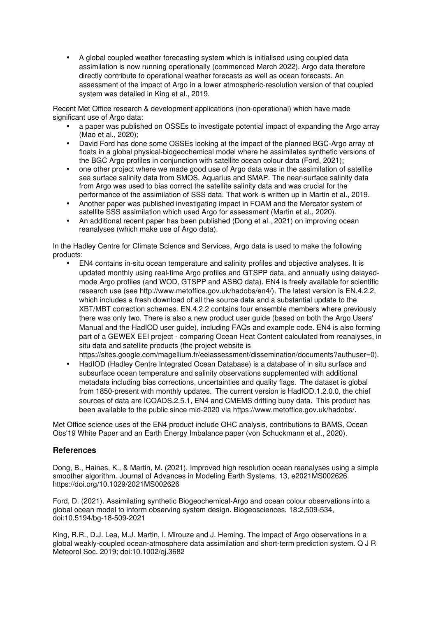• A global coupled weather forecasting system which is initialised using coupled data assimilation is now running operationally (commenced March 2022). Argo data therefore directly contribute to operational weather forecasts as well as ocean forecasts. An assessment of the impact of Argo in a lower atmospheric-resolution version of that coupled system was detailed in King et al., 2019.

Recent Met Office research & development applications (non-operational) which have made significant use of Argo data:

- a paper was published on OSSEs to investigate potential impact of expanding the Argo array (Mao et al., 2020);
- David Ford has done some OSSEs looking at the impact of the planned BGC-Argo array of floats in a global physical-biogeochemical model where he assimilates synthetic versions of the BGC Argo profiles in conjunction with satellite ocean colour data (Ford, 2021);
- one other project where we made good use of Argo data was in the assimilation of satellite sea surface salinity data from SMOS, Aquarius and SMAP. The near-surface salinity data from Argo was used to bias correct the satellite salinity data and was crucial for the performance of the assimilation of SSS data. That work is written up in Martin et al., 2019.
- Another paper was published investigating impact in FOAM and the Mercator system of satellite SSS assimilation which used Argo for assessment (Martin et al., 2020).
- An additional recent paper has been published (Dong et al., 2021) on improving ocean reanalyses (which make use of Argo data).

In the Hadley Centre for Climate Science and Services, Argo data is used to make the following products:

• EN4 contains in-situ ocean temperature and salinity profiles and objective analyses. It is updated monthly using real-time Argo profiles and GTSPP data, and annually using delayedmode Argo profiles (and WOD, GTSPP and ASBO data). EN4 is freely available for scientific research use (see http://www.metoffice.gov.uk/hadobs/en4/). The latest version is EN.4.2.2, which includes a fresh download of all the source data and a substantial update to the XBT/MBT correction schemes. EN.4.2.2 contains four ensemble members where previously there was only two. There is also a new product user guide (based on both the Argo Users' Manual and the HadIOD user guide), including FAQs and example code. EN4 is also forming part of a GEWEX EEI project - comparing Ocean Heat Content calculated from reanalyses, in situ data and satellite products (the project website is

https://sites.google.com/magellium.fr/eeiassessment/dissemination/documents?authuser=0).

• HadIOD (Hadley Centre Integrated Ocean Database) is a database of in situ surface and subsurface ocean temperature and salinity observations supplemented with additional metadata including bias corrections, uncertainties and quality flags. The dataset is global from 1850-present with monthly updates. The current version is HadIOD.1.2.0.0, the chief sources of data are ICOADS.2.5.1, EN4 and CMEMS drifting buoy data. This product has been available to the public since mid-2020 via https://www.metoffice.gov.uk/hadobs/.

Met Office science uses of the EN4 product include OHC analysis, contributions to BAMS, Ocean Obs'19 White Paper and an Earth Energy Imbalance paper (von Schuckmann et al., 2020).

## **References**

Dong, B., Haines, K., & Martin, M. (2021). Improved high resolution ocean reanalyses using a simple smoother algorithm. Journal of Advances in Modeling Earth Systems, 13, e2021MS002626. https://doi.org/10.1029/2021MS002626

Ford, D. (2021). Assimilating synthetic Biogeochemical-Argo and ocean colour observations into a global ocean model to inform observing system design. Biogeosciences, 18:2,509-534, doi:10.5194/bg-18-509-2021

King, R.R., D.J. Lea, M.J. Martin, I. Mirouze and J. Heming. The impact of Argo observations in a global weakly-coupled ocean-atmosphere data assimilation and short-term prediction system. Q J R Meteorol Soc. 2019; doi:10.1002/qj.3682